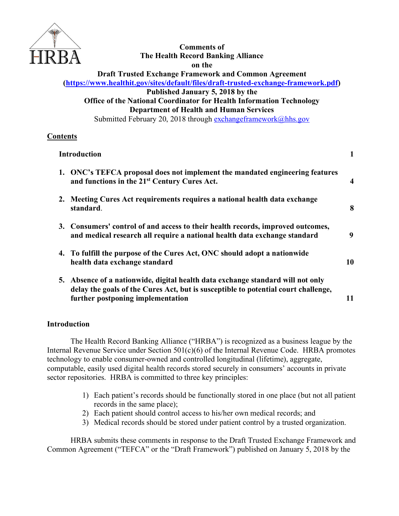

# **Comments of The Health Record Banking Alliance on the**

**Draft Trusted Exchange Framework and Common Agreement (https://www.healthit.gov/sites/default/files/draft-trusted-exchange-framework.pdf)**

**Published January 5, 2018 by the Office of the National Coordinator for Health Information Technology**

**Department of Health and Human Services**

Submitted February 20, 2018 through exchangeframework@hhs.gov

## **Contents**

### **Introduction 1**

| 1. ONC's TEFCA proposal does not implement the mandated engineering features<br>and functions in the 21 <sup>st</sup> Century Cures Act.                                                                   | $\boldsymbol{4}$ |
|------------------------------------------------------------------------------------------------------------------------------------------------------------------------------------------------------------|------------------|
| 2. Meeting Cures Act requirements requires a national health data exchange<br>standard.                                                                                                                    | 8                |
| 3. Consumers' control of and access to their health records, improved outcomes,<br>and medical research all require a national health data exchange standard                                               | 9                |
| 4. To fulfill the purpose of the Cures Act, ONC should adopt a nationwide<br>health data exchange standard                                                                                                 | 10               |
| 5. Absence of a nationwide, digital health data exchange standard will not only<br>delay the goals of the Cures Act, but is susceptible to potential court challenge,<br>further postponing implementation | 11               |

### **Introduction**

The Health Record Banking Alliance ("HRBA") is recognized as a business league by the Internal Revenue Service under Section 501(c)(6) of the Internal Revenue Code. HRBA promotes technology to enable consumer-owned and controlled longitudinal (lifetime), aggregate, computable, easily used digital health records stored securely in consumers' accounts in private sector repositories. HRBA is committed to three key principles:

- 1) Each patient's records should be functionally stored in one place (but not all patient records in the same place);
- 2) Each patient should control access to his/her own medical records; and
- 3) Medical records should be stored under patient control by a trusted organization.

HRBA submits these comments in response to the Draft Trusted Exchange Framework and Common Agreement ("TEFCA" or the "Draft Framework") published on January 5, 2018 by the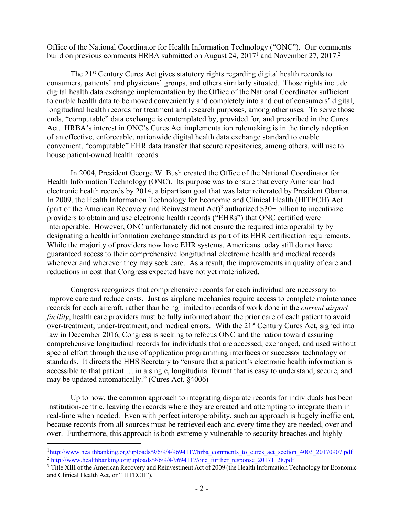Office of the National Coordinator for Health Information Technology ("ONC"). Our comments build on previous comments HRBA submitted on August 24, 2017<sup>1</sup> and November 27, 2017.<sup>2</sup>

The 21st Century Cures Act gives statutory rights regarding digital health records to consumers, patients' and physicians' groups, and others similarly situated. Those rights include digital health data exchange implementation by the Office of the National Coordinator sufficient to enable health data to be moved conveniently and completely into and out of consumers' digital, longitudinal health records for treatment and research purposes, among other uses. To serve those ends, "computable" data exchange is contemplated by, provided for, and prescribed in the Cures Act. HRBA's interest in ONC's Cures Act implementation rulemaking is in the timely adoption of an effective, enforceable, nationwide digital health data exchange standard to enable convenient, "computable" EHR data transfer that secure repositories, among others, will use to house patient-owned health records.

In 2004, President George W. Bush created the Office of the National Coordinator for Health Information Technology (ONC). Its purpose was to ensure that every American had electronic health records by 2014, a bipartisan goal that was later reiterated by President Obama. In 2009, the Health Information Technology for Economic and Clinical Health (HITECH) Act (part of the American Recovery and Reinvestment Act)<sup>3</sup> authorized  $$30+$  billion to incentivize providers to obtain and use electronic health records ("EHRs") that ONC certified were interoperable. However, ONC unfortunately did not ensure the required interoperability by designating a health information exchange standard as part of its EHR certification requirements. While the majority of providers now have EHR systems, Americans today still do not have guaranteed access to their comprehensive longitudinal electronic health and medical records whenever and wherever they may seek care. As a result, the improvements in quality of care and reductions in cost that Congress expected have not yet materialized.

Congress recognizes that comprehensive records for each individual are necessary to improve care and reduce costs. Just as airplane mechanics require access to complete maintenance records for each aircraft, rather than being limited to records of work done in the *current airport facility*, health care providers must be fully informed about the prior care of each patient to avoid over-treatment, under-treatment, and medical errors. With the 21<sup>st</sup> Century Cures Act, signed into law in December 2016, Congress is seeking to refocus ONC and the nation toward assuring comprehensive longitudinal records for individuals that are accessed, exchanged, and used without special effort through the use of application programming interfaces or successor technology or standards. It directs the HHS Secretary to "ensure that a patient's electronic health information is accessible to that patient … in a single, longitudinal format that is easy to understand, secure, and may be updated automatically." (Cures Act, §4006)

Up to now, the common approach to integrating disparate records for individuals has been institution-centric, leaving the records where they are created and attempting to integrate them in real-time when needed. Even with perfect interoperability, such an approach is hugely inefficient, because records from all sources must be retrieved each and every time they are needed, over and over. Furthermore, this approach is both extremely vulnerable to security breaches and highly

 $1$ http://www.healthbanking.org/uploads/9/6/9/4/9694117/hrba comments to cures act section 4003 20170907.pdf <sup>2</sup> http://www.healthbanking.org/uploads/9/6/9/4/9694117/onc\_further\_response\_20171128.pdf

<sup>&</sup>lt;sup>3</sup> Title XIII of the American Recovery and Reinvestment Act of 2009 (the Health Information Technology for Economic and Clinical Health Act, or "HITECH").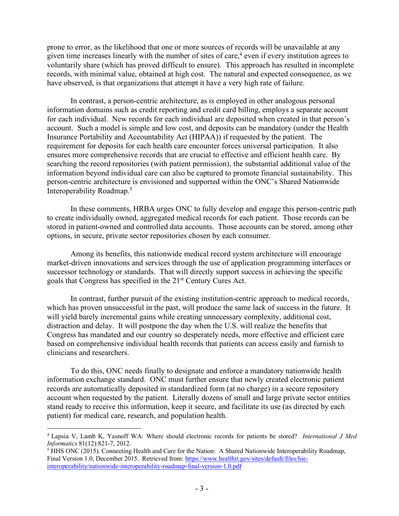prone to error, as the likelihood that one or more sources of records will be unavailable at any given time increases linearly with the number of sites of care,<sup>4</sup> even if every institution agrees to voluntarily share (which has proved difficult to ensure). This approach has resulted in incomplete records, with minimal value, obtained at high cost. The natural and expected consequence, as we have observed, is that organizations that attempt it have a very high rate of failure.

In contrast, a person-centric architecture, as is employed in other analogous personal information domains such as credit reporting and credit card billing, employs a separate account for each individual. New records for each individual are deposited when created in that person's account. Such a model is simple and low cost, and deposits can be mandatory (under the Health Insurance Portability and Accountability Act (HIPAA)) if requested by the patient. The requirement for deposits for each health care encounter forces universal participation. It also ensures more comprehensive records that are crucial to effective and efficient health care. By searching the record repositories (with patient permission), the substantial additional value of the information beyond individual care can also be captured to promote financial sustainability. This person-centric architecture is envisioned and supported within the ONC's Shared Nationwide Interoperability Roadmap. 5

In these comments, HRBA urges ONC to fully develop and engage this person-centric path to create individually owned, aggregated medical records for each patient. Those records can be stored in patient-owned and controlled data accounts. Those accounts can be stored, among other options, in secure, private sector repositories chosen by each consumer.

Among its benefits, this nationwide medical record system architecture will encourage market-driven innovations and services through the use of application programming interfaces or successor technology or standards. That will directly support success in achieving the specific goals that Congress has specified in the 21st Century Cures Act.

In contrast, further pursuit of the existing institution-centric approach to medical records, which has proven unsuccessful in the past, will produce the same lack of success in the future. It will yield barely incremental gains while creating unnecessary complexity, additional cost, distraction and delay. It will postpone the day when the U.S. will realize the benefits that Congress has mandated and our country so desperately needs, more effective and efficient care based on comprehensive individual health records that patients can access easily and furnish to clinicians and researchers.

To do this, ONC needs finally to designate and enforce a mandatory nationwide health information exchange standard. ONC must further ensure that newly created electronic patient records are automatically deposited in standardized form (at no charge) in a secure repository account when requested by the patient. Literally dozens of small and large private sector entities stand ready to receive this information, keep it secure, and facilitate its use (as directed by each patient) for medical care, research, and population health.

 <sup>4</sup> Lapsia V, Lamb K, Yasnoff WA: Where should electronic records for patients be stored? *International J Med Informatics* 81(12):821-7, 2012.

<sup>&</sup>lt;sup>5</sup> HHS ONC (2015). Connecting Health and Care for the Nation: A Shared Nationwide Interoperability Roadmap, Final Version 1.0, December 2015. Retrieved from: https://www.healthit.gov/sites/default/files/hieinteroperability/nationwide-interoperability-roadmap-final-version-1.0.pdf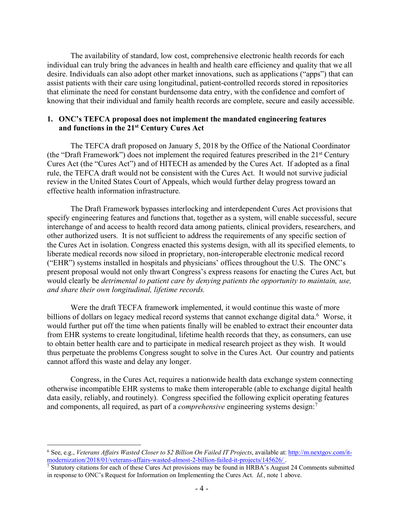The availability of standard, low cost, comprehensive electronic health records for each individual can truly bring the advances in health and health care efficiency and quality that we all desire. Individuals can also adopt other market innovations, such as applications ("apps") that can assist patients with their care using longitudinal, patient-controlled records stored in repositories that eliminate the need for constant burdensome data entry, with the confidence and comfort of knowing that their individual and family health records are complete, secure and easily accessible.

#### **1. ONC's TEFCA proposal does not implement the mandated engineering features and functions in the 21st Century Cures Act**

The TEFCA draft proposed on January 5, 2018 by the Office of the National Coordinator (the "Draft Framework") does not implement the required features prescribed in the 21st Century Cures Act (the "Cures Act") and of HITECH as amended by the Cures Act. If adopted as a final rule, the TEFCA draft would not be consistent with the Cures Act. It would not survive judicial review in the United States Court of Appeals, which would further delay progress toward an effective health information infrastructure.

The Draft Framework bypasses interlocking and interdependent Cures Act provisions that specify engineering features and functions that, together as a system, will enable successful, secure interchange of and access to health record data among patients, clinical providers, researchers, and other authorized users. It is not sufficient to address the requirements of any specific section of the Cures Act in isolation. Congress enacted this systems design, with all its specified elements, to liberate medical records now siloed in proprietary, non-interoperable electronic medical record ("EHR") systems installed in hospitals and physicians' offices throughout the U.S. The ONC's present proposal would not only thwart Congress's express reasons for enacting the Cures Act, but would clearly be *detrimental to patient care by denying patients the opportunity to maintain, use, and share their own longitudinal, lifetime records.*

Were the draft TECFA framework implemented, it would continue this waste of more billions of dollars on legacy medical record systems that cannot exchange digital data.<sup>6</sup> Worse, it would further put off the time when patients finally will be enabled to extract their encounter data from EHR systems to create longitudinal, lifetime health records that they, as consumers, can use to obtain better health care and to participate in medical research project as they wish. It would thus perpetuate the problems Congress sought to solve in the Cures Act. Our country and patients cannot afford this waste and delay any longer.

Congress, in the Cures Act, requires a nationwide health data exchange system connecting otherwise incompatible EHR systems to make them interoperable (able to exchange digital health data easily, reliably, and routinely). Congress specified the following explicit operating features and components, all required, as part of a *comprehensive* engineering systems design: 7

 <sup>6</sup> See, e.g., *Veterans Affairs Wasted Closer to \$2 Billion On Failed IT Projects*, available at: http://m.nextgov.com/itmodernization/2018/01/veterans-affairs-wasted-almost-2-billion-failed-it-projects/145626/ .

<sup>&</sup>lt;sup>7</sup> Statutory citations for each of these Cures Act provisions may be found in HRBA's August 24 Comments submitted in response to ONC's Request for Information on Implementing the Cures Act. *Id.*, note 1 above.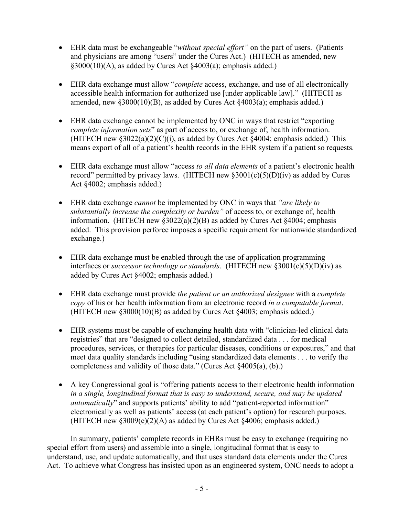- EHR data must be exchangeable "*without special effort"* on the part of users. (Patients and physicians are among "users" under the Cures Act.) (HITECH as amended, new §3000(10)(A), as added by Cures Act §4003(a); emphasis added.)
- EHR data exchange must allow "*complete* access, exchange, and use of all electronically accessible health information for authorized use [under applicable law]." (HITECH as amended, new §3000(10)(B), as added by Cures Act §4003(a); emphasis added.)
- EHR data exchange cannot be implemented by ONC in ways that restrict "exporting" *complete information sets*" as part of access to, or exchange of, health information. (HITECH new  $\S 3022(a)(2)(C)(i)$ , as added by Cures Act  $\S 4004$ ; emphasis added.) This means export of all of a patient's health records in the EHR system if a patient so requests.
- EHR data exchange must allow "access *to all data elements* of a patient's electronic health record" permitted by privacy laws. (HITECH new  $\S 3001(c)(5)(D)(iv)$  as added by Cures Act §4002; emphasis added.)
- EHR data exchange *cannot* be implemented by ONC in ways that *"are likely to substantially increase the complexity or burden"* of access to, or exchange of, health information. (HITECH new §3022(a)(2)(B) as added by Cures Act §4004; emphasis added. This provision perforce imposes a specific requirement for nationwide standardized exchange.)
- EHR data exchange must be enabled through the use of application programming interfaces or *successor technology or standards*. (HITECH new §3001(c)(5)(D)(iv) as added by Cures Act §4002; emphasis added.)
- EHR data exchange must provide *the patient or an authorized designee* with a *complete copy* of his or her health information from an electronic record *in a computable format*. (HITECH new §3000(10)(B) as added by Cures Act §4003; emphasis added.)
- EHR systems must be capable of exchanging health data with "clinician-led clinical data registries" that are "designed to collect detailed, standardized data . . . for medical procedures, services, or therapies for particular diseases, conditions or exposures," and that meet data quality standards including "using standardized data elements . . . to verify the completeness and validity of those data." (Cures Act §4005(a), (b).)
- A key Congressional goal is "offering patients access to their electronic health information *in a single, longitudinal format that is easy to understand, secure, and may be updated automatically*" and supports patients' ability to add "patient-reported information" electronically as well as patients' access (at each patient's option) for research purposes. (HITECH new  $\S 3009(e)(2)$ (A) as added by Cures Act  $\S 4006$ ; emphasis added.)

In summary, patients' complete records in EHRs must be easy to exchange (requiring no special effort from users) and assemble into a single, longitudinal format that is easy to understand, use, and update automatically, and that uses standard data elements under the Cures Act. To achieve what Congress has insisted upon as an engineered system, ONC needs to adopt a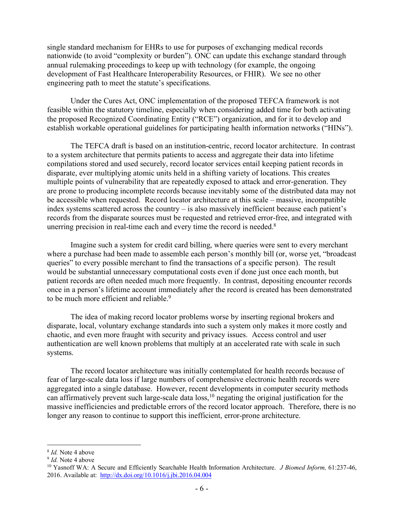single standard mechanism for EHRs to use for purposes of exchanging medical records nationwide (to avoid "complexity or burden"). ONC can update this exchange standard through annual rulemaking proceedings to keep up with technology (for example, the ongoing development of Fast Healthcare Interoperability Resources, or FHIR). We see no other engineering path to meet the statute's specifications.

Under the Cures Act, ONC implementation of the proposed TEFCA framework is not feasible within the statutory timeline, especially when considering added time for both activating the proposed Recognized Coordinating Entity ("RCE") organization, and for it to develop and establish workable operational guidelines for participating health information networks ("HINs").

The TEFCA draft is based on an institution-centric, record locator architecture. In contrast to a system architecture that permits patients to access and aggregate their data into lifetime compilations stored and used securely, record locator services entail keeping patient records in disparate, ever multiplying atomic units held in a shifting variety of locations. This creates multiple points of vulnerability that are repeatedly exposed to attack and error-generation. They are prone to producing incomplete records because inevitably some of the distributed data may not be accessible when requested. Record locator architecture at this scale – massive, incompatible index systems scattered across the country – is also massively inefficient because each patient's records from the disparate sources must be requested and retrieved error-free, and integrated with unerring precision in real-time each and every time the record is needed.<sup>8</sup>

Imagine such a system for credit card billing, where queries were sent to every merchant where a purchase had been made to assemble each person's monthly bill (or, worse yet, "broadcast queries" to every possible merchant to find the transactions of a specific person). The result would be substantial unnecessary computational costs even if done just once each month, but patient records are often needed much more frequently. In contrast, depositing encounter records once in a person's lifetime account immediately after the record is created has been demonstrated to be much more efficient and reliable.<sup>9</sup>

The idea of making record locator problems worse by inserting regional brokers and disparate, local, voluntary exchange standards into such a system only makes it more costly and chaotic, and even more fraught with security and privacy issues. Access control and user authentication are well known problems that multiply at an accelerated rate with scale in such systems.

The record locator architecture was initially contemplated for health records because of fear of large-scale data loss if large numbers of comprehensive electronic health records were aggregated into a single database. However, recent developments in computer security methods can affirmatively prevent such large-scale data loss,<sup>10</sup> negating the original justification for the massive inefficiencies and predictable errors of the record locator approach. Therefore, there is no longer any reason to continue to support this inefficient, error-prone architecture.

 <sup>8</sup> *Id.* Note 4 above

<sup>9</sup> *Id.* Note 4 above

<sup>10</sup> Yasnoff WA: A Secure and Efficiently Searchable Health Information Architecture. *J Biomed Inform,* 61:237-46, 2016. Available at: http://dx.doi.org/10.1016/j.jbi.2016.04.004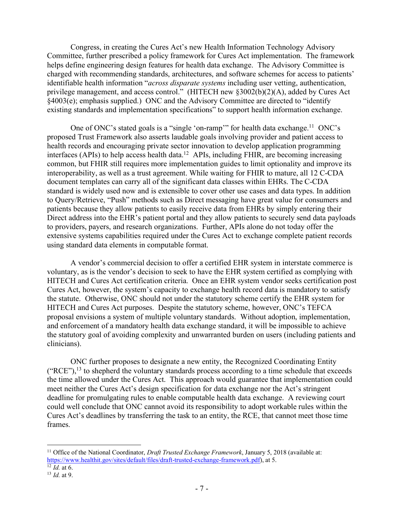Congress, in creating the Cures Act's new Health Information Technology Advisory Committee, further prescribed a policy framework for Cures Act implementation. The framework helps define engineering design features for health data exchange. The Advisory Committee is charged with recommending standards, architectures, and software schemes for access to patients' identifiable health information "*across disparate systems* including user vetting, authentication, privilege management, and access control." (HITECH new §3002(b)(2)(A), added by Cures Act §4003(e); emphasis supplied.) ONC and the Advisory Committee are directed to "identify existing standards and implementation specifications" to support health information exchange.

One of ONC's stated goals is a "single 'on-ramp'" for health data exchange.<sup>11</sup> ONC's proposed Trust Framework also asserts laudable goals involving provider and patient access to health records and encouraging private sector innovation to develop application programming interfaces (APIs) to help access health data.12 APIs, including FHIR, are becoming increasing common, but FHIR still requires more implementation guides to limit optionality and improve its interoperability, as well as a trust agreement. While waiting for FHIR to mature, all 12 C-CDA document templates can carry all of the significant data classes within EHRs. The C-CDA standard is widely used now and is extensible to cover other use cases and data types. In addition to Query/Retrieve, "Push" methods such as Direct messaging have great value for consumers and patients because they allow patients to easily receive data from EHRs by simply entering their Direct address into the EHR's patient portal and they allow patients to securely send data payloads to providers, payers, and research organizations. Further, APIs alone do not today offer the extensive systems capabilities required under the Cures Act to exchange complete patient records using standard data elements in computable format.

A vendor's commercial decision to offer a certified EHR system in interstate commerce is voluntary, as is the vendor's decision to seek to have the EHR system certified as complying with HITECH and Cures Act certification criteria. Once an EHR system vendor seeks certification post Cures Act, however, the system's capacity to exchange health record data is mandatory to satisfy the statute. Otherwise, ONC should not under the statutory scheme certify the EHR system for HITECH and Cures Act purposes. Despite the statutory scheme, however, ONC's TEFCA proposal envisions a system of multiple voluntary standards. Without adoption, implementation, and enforcement of a mandatory health data exchange standard, it will be impossible to achieve the statutory goal of avoiding complexity and unwarranted burden on users (including patients and clinicians).

ONC further proposes to designate a new entity, the Recognized Coordinating Entity  $("RCE"),<sup>13</sup>$  to shepherd the voluntary standards process according to a time schedule that exceeds the time allowed under the Cures Act. This approach would guarantee that implementation could meet neither the Cures Act's design specification for data exchange nor the Act's stringent deadline for promulgating rules to enable computable health data exchange. A reviewing court could well conclude that ONC cannot avoid its responsibility to adopt workable rules within the Cures Act's deadlines by transferring the task to an entity, the RCE, that cannot meet those time frames.

 <sup>11</sup> Office of the National Coordinator, *Draft Trusted Exchange Framework*, January 5, 2018 (available at: https://www.healthit.gov/sites/default/files/draft-trusted-exchange-framework.pdf), at 5.

<sup>12</sup> *Id.* at 6.

<sup>13</sup> *Id.* at 9.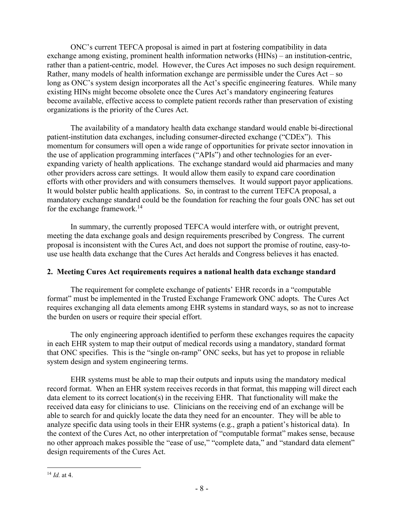ONC's current TEFCA proposal is aimed in part at fostering compatibility in data exchange among existing, prominent health information networks (HINs) – an institution-centric, rather than a patient-centric, model. However, the Cures Act imposes no such design requirement. Rather, many models of health information exchange are permissible under the Cures Act – so long as ONC's system design incorporates all the Act's specific engineering features. While many existing HINs might become obsolete once the Cures Act's mandatory engineering features become available, effective access to complete patient records rather than preservation of existing organizations is the priority of the Cures Act.

The availability of a mandatory health data exchange standard would enable bi-directional patient-institution data exchanges, including consumer-directed exchange ("CDEx"). This momentum for consumers will open a wide range of opportunities for private sector innovation in the use of application programming interfaces ("APIs") and other technologies for an everexpanding variety of health applications. The exchange standard would aid pharmacies and many other providers across care settings. It would allow them easily to expand care coordination efforts with other providers and with consumers themselves. It would support payor applications. It would bolster public health applications. So, in contrast to the current TEFCA proposal, a mandatory exchange standard could be the foundation for reaching the four goals ONC has set out for the exchange framework.14

In summary, the currently proposed TEFCA would interfere with, or outright prevent, meeting the data exchange goals and design requirements prescribed by Congress. The current proposal is inconsistent with the Cures Act, and does not support the promise of routine, easy-touse use health data exchange that the Cures Act heralds and Congress believes it has enacted.

### **2. Meeting Cures Act requirements requires a national health data exchange standard**

The requirement for complete exchange of patients' EHR records in a "computable format" must be implemented in the Trusted Exchange Framework ONC adopts. The Cures Act requires exchanging all data elements among EHR systems in standard ways, so as not to increase the burden on users or require their special effort.

The only engineering approach identified to perform these exchanges requires the capacity in each EHR system to map their output of medical records using a mandatory, standard format that ONC specifies. This is the "single on-ramp" ONC seeks, but has yet to propose in reliable system design and system engineering terms.

EHR systems must be able to map their outputs and inputs using the mandatory medical record format. When an EHR system receives records in that format, this mapping will direct each data element to its correct location(s) in the receiving EHR. That functionality will make the received data easy for clinicians to use. Clinicians on the receiving end of an exchange will be able to search for and quickly locate the data they need for an encounter. They will be able to analyze specific data using tools in their EHR systems (e.g., graph a patient's historical data). In the context of the Cures Act, no other interpretation of "computable format" makes sense, because no other approach makes possible the "ease of use," "complete data," and "standard data element" design requirements of the Cures Act.

 <sup>14</sup> *Id.* at 4.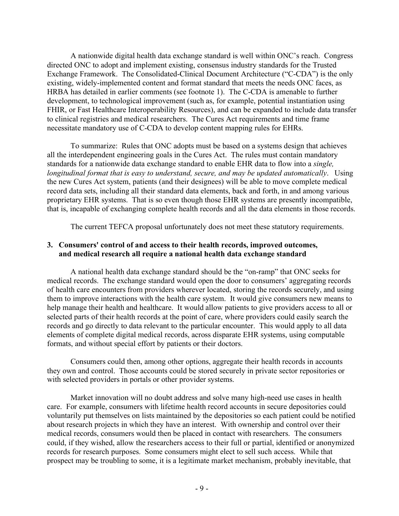A nationwide digital health data exchange standard is well within ONC's reach. Congress directed ONC to adopt and implement existing, consensus industry standards for the Trusted Exchange Framework. The Consolidated-Clinical Document Architecture ("C-CDA") is the only existing, widely-implemented content and format standard that meets the needs ONC faces, as HRBA has detailed in earlier comments (see footnote 1). The C-CDA is amenable to further development, to technological improvement (such as, for example, potential instantiation using FHIR, or Fast Healthcare Interoperability Resources), and can be expanded to include data transfer to clinical registries and medical researchers. The Cures Act requirements and time frame necessitate mandatory use of C-CDA to develop content mapping rules for EHRs.

To summarize: Rules that ONC adopts must be based on a systems design that achieves all the interdependent engineering goals in the Cures Act. The rules must contain mandatory standards for a nationwide data exchange standard to enable EHR data to flow into a *single, longitudinal format that is easy to understand, secure, and may be updated automatically*. Using the new Cures Act system, patients (and their designees) will be able to move complete medical record data sets, including all their standard data elements, back and forth, in and among various proprietary EHR systems. That is so even though those EHR systems are presently incompatible, that is, incapable of exchanging complete health records and all the data elements in those records.

The current TEFCA proposal unfortunately does not meet these statutory requirements.

### **3. Consumers' control of and access to their health records, improved outcomes, and medical research all require a national health data exchange standard**

A national health data exchange standard should be the "on-ramp" that ONC seeks for medical records. The exchange standard would open the door to consumers' aggregating records of health care encounters from providers wherever located, storing the records securely, and using them to improve interactions with the health care system. It would give consumers new means to help manage their health and healthcare. It would allow patients to give providers access to all or selected parts of their health records at the point of care, where providers could easily search the records and go directly to data relevant to the particular encounter. This would apply to all data elements of complete digital medical records, across disparate EHR systems, using computable formats, and without special effort by patients or their doctors.

Consumers could then, among other options, aggregate their health records in accounts they own and control. Those accounts could be stored securely in private sector repositories or with selected providers in portals or other provider systems.

Market innovation will no doubt address and solve many high-need use cases in health care. For example, consumers with lifetime health record accounts in secure depositories could voluntarily put themselves on lists maintained by the depositories so each patient could be notified about research projects in which they have an interest. With ownership and control over their medical records, consumers would then be placed in contact with researchers. The consumers could, if they wished, allow the researchers access to their full or partial, identified or anonymized records for research purposes. Some consumers might elect to sell such access. While that prospect may be troubling to some, it is a legitimate market mechanism, probably inevitable, that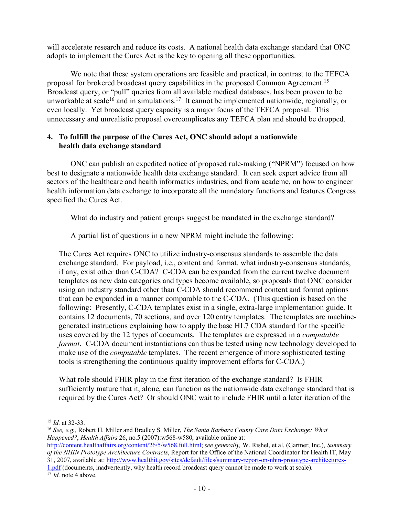will accelerate research and reduce its costs. A national health data exchange standard that ONC adopts to implement the Cures Act is the key to opening all these opportunities.

We note that these system operations are feasible and practical, in contrast to the TEFCA proposal for brokered broadcast query capabilities in the proposed Common Agreement.15 Broadcast query, or "pull" queries from all available medical databases, has been proven to be unworkable at scale<sup>16</sup> and in simulations.<sup>17</sup> It cannot be implemented nationwide, regionally, or even locally. Yet broadcast query capacity is a major focus of the TEFCA proposal. This unnecessary and unrealistic proposal overcomplicates any TEFCA plan and should be dropped.

## **4. To fulfill the purpose of the Cures Act, ONC should adopt a nationwide health data exchange standard**

ONC can publish an expedited notice of proposed rule-making ("NPRM") focused on how best to designate a nationwide health data exchange standard. It can seek expert advice from all sectors of the healthcare and health informatics industries, and from academe, on how to engineer health information data exchange to incorporate all the mandatory functions and features Congress specified the Cures Act.

What do industry and patient groups suggest be mandated in the exchange standard?

A partial list of questions in a new NPRM might include the following:

The Cures Act requires ONC to utilize industry-consensus standards to assemble the data exchange standard. For payload, i.e., content and format, what industry-consensus standards, if any, exist other than C-CDA? C-CDA can be expanded from the current twelve document templates as new data categories and types become available, so proposals that ONC consider using an industry standard other than C-CDA should recommend content and format options that can be expanded in a manner comparable to the C-CDA. (This question is based on the following: Presently, C-CDA templates exist in a single, extra-large implementation guide. It contains 12 documents, 70 sections, and over 120 entry templates. The templates are machinegenerated instructions explaining how to apply the base HL7 CDA standard for the specific uses covered by the 12 types of documents. The templates are expressed in a *computable format*. C-CDA document instantiations can thus be tested using new technology developed to make use of the *computable* templates. The recent emergence of more sophisticated testing tools is strengthening the continuous quality improvement efforts for C-CDA.)

What role should FHIR play in the first iteration of the exchange standard? Is FHIR sufficiently mature that it, alone, can function as the nationwide data exchange standard that is required by the Cures Act? Or should ONC wait to include FHIR until a later iteration of the

<sup>16</sup> *See, e.g.,* Robert H. Miller and Bradley S. Miller, *The Santa Barbara County Care Data Exchange: What Happened?*, *Health Affairs* 26, no.5 (2007):w568-w580, available online at:

- http://content.healthaffairs.org/content/26/5/w568.full.html; *see generally,* W. Rishel, et al. (Gartner, Inc.), *Summary of the NHIN Prototype Architecture Contracts*, Report for the Office of the National Coordinator for Health IT, May 31, 2007, available at: http://www.healthit.gov/sites/default/files/summary-report-on-nhin-prototype-architectures-
- 1.pdf (documents, inadvertently, why health record broadcast query cannot be made to work at scale). 17 *Id.* note 4 above.

 <sup>15</sup> *Id.* at 32-33.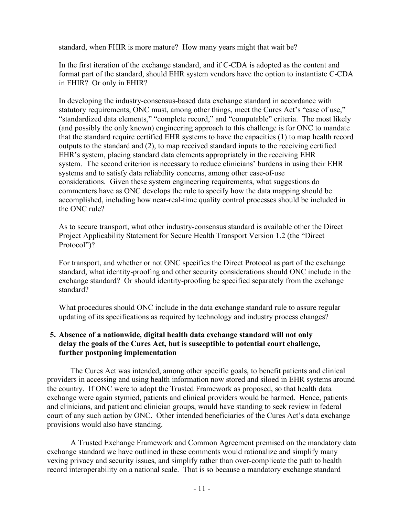standard, when FHIR is more mature? How many years might that wait be?

In the first iteration of the exchange standard, and if C-CDA is adopted as the content and format part of the standard, should EHR system vendors have the option to instantiate C-CDA in FHIR? Or only in FHIR?

In developing the industry-consensus-based data exchange standard in accordance with statutory requirements, ONC must, among other things, meet the Cures Act's "ease of use," "standardized data elements," "complete record," and "computable" criteria. The most likely (and possibly the only known) engineering approach to this challenge is for ONC to mandate that the standard require certified EHR systems to have the capacities (1) to map health record outputs to the standard and (2), to map received standard inputs to the receiving certified EHR's system, placing standard data elements appropriately in the receiving EHR system. The second criterion is necessary to reduce clinicians' burdens in using their EHR systems and to satisfy data reliability concerns, among other ease-of-use considerations. Given these system engineering requirements, what suggestions do commenters have as ONC develops the rule to specify how the data mapping should be accomplished, including how near-real-time quality control processes should be included in the ONC rule?

As to secure transport, what other industry-consensus standard is available other the Direct Project Applicability Statement for Secure Health Transport Version 1.2 (the "Direct Protocol")?

For transport, and whether or not ONC specifies the Direct Protocol as part of the exchange standard, what identity-proofing and other security considerations should ONC include in the exchange standard? Or should identity-proofing be specified separately from the exchange standard?

What procedures should ONC include in the data exchange standard rule to assure regular updating of its specifications as required by technology and industry process changes?

## **5. Absence of a nationwide, digital health data exchange standard will not only delay the goals of the Cures Act, but is susceptible to potential court challenge, further postponing implementation**

The Cures Act was intended, among other specific goals, to benefit patients and clinical providers in accessing and using health information now stored and siloed in EHR systems around the country. If ONC were to adopt the Trusted Framework as proposed, so that health data exchange were again stymied, patients and clinical providers would be harmed. Hence, patients and clinicians, and patient and clinician groups, would have standing to seek review in federal court of any such action by ONC. Other intended beneficiaries of the Cures Act's data exchange provisions would also have standing.

A Trusted Exchange Framework and Common Agreement premised on the mandatory data exchange standard we have outlined in these comments would rationalize and simplify many vexing privacy and security issues, and simplify rather than over-complicate the path to health record interoperability on a national scale. That is so because a mandatory exchange standard